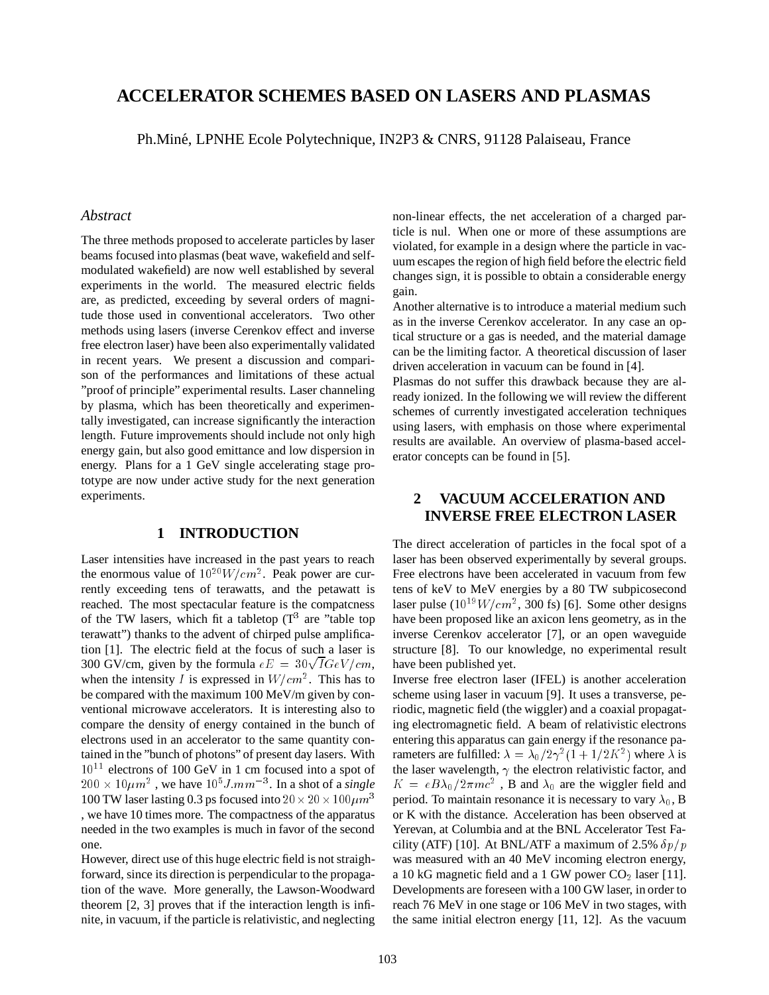# **ACCELERATOR SCHEMES BASED ON LASERS AND PLASMAS**

Ph.Miné, LPNHE Ecole Polytechnique, IN2P3 & CNRS, 91128 Palaiseau, France

### *Abstract*

The three methods proposed to accelerate particles by laser beams focused into plasmas (beat wave, wakefield and selfmodulated wakefield) are now well established by several experiments in the world. The measured electric fields are, as predicted, exceeding by several orders of magnitude those used in conventional accelerators. Two other methods using lasers (inverse Cerenkov effect and inverse free electron laser) have been also experimentally validated in recent years. We present a discussion and comparison of the performances and limitations of these actual "proof of principle" experimental results. Laser channeling by plasma, which has been theoretically and experimentally investigated, can increase significantly the interaction length. Future improvements should include not only high energy gain, but also good emittance and low dispersion in energy. Plans for a 1 GeV single accelerating stage prototype are now under active study for the next generation experiments.

### **1 INTRODUCTION**

Laser intensities have increased in the past years to reach the enormous value of  $10^{20} W/cm^2$ . Peak power are currently exceeding tens of terawatts, and the petawatt is reached. The most spectacular feature is the compatcness of the TW lasers, which fit a tabletop  $(T^3)$  are "table top terawatt") thanks to the advent of chirped pulse amplification [1]. The electric field at the focus of such a laser is 300 GV/cm, given by the formula  $eE = 30\sqrt{I}GeV/cm$ , when the intensity I is expressed in  $W/cm^2$ . This has to be compared with the maximum 100 MeV/m given by conventional microwave accelerators. It is interesting also to compare the density of energy contained in the bunch of electrons used in an accelerator to the same quantity contained in the "bunch of photons" of present day lasers. With  $10^{11}$  electrons of 100 GeV in 1 cm focused into a spot of  $200 \times 10 \mu m^2$  , we have  $10^5 J.mm^{-3}$ . In a shot of a *single* 100 TW laser lasting 0.3 ps focused into  $20 \times 20 \times 100 \mu m^3$ , we have 10 times more. The compactness of the apparatus needed in the two examples is much in favor of the second one.

However, direct use of this huge electric field is not straighforward, since its direction is perpendicular to the propagation of the wave. More generally, the Lawson-Woodward theorem [2, 3] proves that if the interaction length is infinite, in vacuum, if the particle is relativistic, and neglecting non-linear effects, the net acceleration of a charged particle is nul. When one or more of these assumptions are violated, for example in a design where the particle in vacuum escapes the region of high field before the electric field changes sign, it is possible to obtain a considerable energy gain.

Another alternative is to introduce a material medium such as in the inverse Cerenkov accelerator. In any case an optical structure or a gas is needed, and the material damage can be the limiting factor. A theoretical discussion of laser driven acceleration in vacuum can be found in [4].

Plasmas do not suffer this drawback because they are already ionized. In the following we will review the different schemes of currently investigated acceleration techniques using lasers, with emphasis on those where experimental results are available. An overview of plasma-based accelerator concepts can be found in [5].

# **2 VACUUM ACCELERATION AND INVERSE FREE ELECTRON LASER**

The direct acceleration of particles in the focal spot of a laser has been observed experimentally by several groups. Free electrons have been accelerated in vacuum from few tens of keV to MeV energies by a 80 TW subpicosecond laser pulse  $(10^{19} W/cm^2, 300 \text{ fs})$  [6]. Some other designs have been proposed like an axicon lens geometry, as in the inverse Cerenkov accelerator [7], or an open waveguide structure [8]. To our knowledge, no experimental result have been published yet.

Inverse free electron laser (IFEL) is another acceleration scheme using laser in vacuum [9]. It uses a transverse, periodic, magnetic field (the wiggler) and a coaxial propagating electromagnetic field. A beam of relativistic electrons entering this apparatus can gain energy if the resonance parameters are fulfilled:  $\lambda = \lambda_0/2\gamma^2(1+1/2K^2)$  where  $\lambda$  is the laser wavelength,  $\gamma$  the electron relativistic factor, and  $K = eB\lambda_0/2\pi mc^2$ , B and  $\lambda_0$  are the wiggler field and period. To maintain resonance it is necessary to vary  $\lambda_0$ , B or K with the distance. Acceleration has been observed at Yerevan, at Columbia and at the BNL Accelerator Test Facility (ATF) [10]. At BNL/ATF a maximum of 2.5%  $\delta p/p$ was measured with an 40 MeV incoming electron energy, a 10 kG magnetic field and a 1 GW power  $CO<sub>2</sub>$  laser [11]. Developments are foreseen with a 100 GW laser, in order to reach 76 MeV in one stage or 106 MeV in two stages, with the same initial electron energy [11, 12]. As the vacuum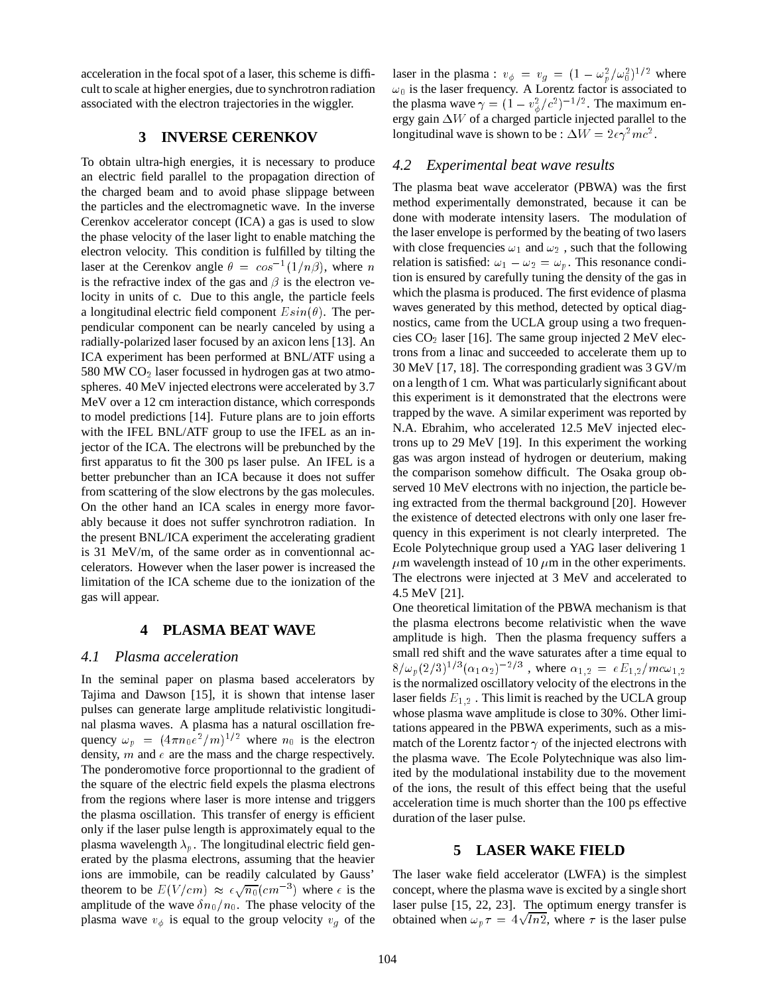acceleration in the focal spot of a laser, this scheme is difficult to scale at higher energies, due to synchrotron radiation associated with the electron trajectories in the wiggler.

## **3 INVERSE CERENKOV**

To obtain ultra-high energies, it is necessary to produce an electric field parallel to the propagation direction of the charged beam and to avoid phase slippage between the particles and the electromagnetic wave. In the inverse Cerenkov accelerator concept (ICA) a gas is used to slow the phase velocity of the laser light to enable matching the electron velocity. This condition is fulfilled by tilting the laser at the Cerenkov angle  $\theta = \cos^{-1}(1/n\beta)$ , where n is the refractive index of the gas and  $\beta$  is the electron velocity in units of c. Due to this angle, the particle feels a longitudinal electric field component  $E\sin(\theta)$ . The perpendicular component can be nearly canceled by using a radially-polarized laser focused by an axicon lens [13]. An ICA experiment has been performed at BNL/ATF using a 580 MW  $CO<sub>2</sub>$  laser focussed in hydrogen gas at two atmospheres. 40 MeV injected electrons were accelerated by 3.7 MeV over a 12 cm interaction distance, which corresponds to model predictions [14]. Future plans are to join efforts with the IFEL BNL/ATF group to use the IFEL as an injector of the ICA. The electrons will be prebunched by the first apparatus to fit the 300 ps laser pulse. An IFEL is a better prebuncher than an ICA because it does not suffer from scattering of the slow electrons by the gas molecules. On the other hand an ICA scales in energy more favorably because it does not suffer synchrotron radiation. In the present BNL/ICA experiment the accelerating gradient is 31 MeV/m, of the same order as in conventionnal accelerators. However when the laser power is increased the limitation of the ICA scheme due to the ionization of the gas will appear.

### **4 PLASMA BEAT WAVE**

### *4.1 Plasma acceleration*

In the seminal paper on plasma based accelerators by Tajima and Dawson [15], it is shown that intense laser pulses can generate large amplitude relativistic longitudinal plasma waves. A plasma has a natural oscillation frequency  $\omega_p = (4\pi n_0 e^2/m)^{1/2}$  where  $n_0$  is the electron density,  $m$  and  $e$  are the mass and the charge respectively. The ponderomotive force proportionnal to the gradient of the square of the electric field expels the plasma electrons from the regions where laser is more intense and triggers the plasma oscillation. This transfer of energy is efficient only if the laser pulse length is approximately equal to the plasma wavelength  $\lambda_p$ . The longitudinal electric field generated by the plasma electrons, assuming that the heavier ions are immobile, can be readily calculated by Gauss' theorem to be  $E(V/cm) \approx \epsilon \sqrt{n_0}(cm^{-3})$  where  $\epsilon$  is the amplitude of the wave  $\delta n_0/n_0$ . The phase velocity of the plasma wave  $v_{\phi}$  is equal to the group velocity  $v_{q}$  of the

laser in the plasma :  $v_{\phi} = v_g = (1 - \omega_p^2/\omega_0^2)^{1/2}$  where  $\omega_0$  is the laser frequency. A Lorentz factor is associated to the plasma wave  $\gamma = (1 - v_{\phi}^2/c^2)^{-1/2}$ . The maximum energy gain  $\Delta W$  of a charged particle injected parallel to the longitudinal wave is shown to be :  $\Delta W = 2\epsilon \gamma^2 mc^2$ .

### *4.2 Experimental beat wave results*

The plasma beat wave accelerator (PBWA) was the first method experimentally demonstrated, because it can be done with moderate intensity lasers. The modulation of the laser envelope is performed by the beating of two lasers with close frequencies  $\omega_1$  and  $\omega_2$ , such that the following relation is satisfied:  $\omega_1 - \omega_2 = \omega_p$ . This resonance condition is ensured by carefully tuning the density of the gas in which the plasma is produced. The first evidence of plasma waves generated by this method, detected by optical diagnostics, came from the UCLA group using a two frequencies  $CO<sub>2</sub>$  laser [16]. The same group injected 2 MeV electrons from a linac and succeeded to accelerate them up to 30 MeV [17, 18]. The corresponding gradient was 3 GV/m on a length of 1 cm. What was particularly significant about this experiment is it demonstrated that the electrons were trapped by the wave. A similar experiment was reported by N.A. Ebrahim, who accelerated 12.5 MeV injected electrons up to 29 MeV [19]. In this experiment the working gas was argon instead of hydrogen or deuterium, making the comparison somehow difficult. The Osaka group observed 10 MeV electrons with no injection, the particle being extracted from the thermal background [20]. However the existence of detected electrons with only one laser frequency in this experiment is not clearly interpreted. The Ecole Polytechnique group used a YAG laser delivering 1  $\mu$ m wavelength instead of 10  $\mu$ m in the other experiments. The electrons were injected at 3 MeV and accelerated to 4.5 MeV [21].

One theoretical limitation of the PBWA mechanism is that the plasma electrons become relativistic when the wave amplitude is high. Then the plasma frequency suffers a small red shift and the wave saturates after a time equal to  $8/\omega_p(2/3)^{1/3}(\alpha_1\alpha_2)^{-2/3}$ , where  $\alpha_{1,2}=eE_{1,2}/mc\omega_{1,2}$ is the normalized oscillatory velocity of the electrons in the laser fields  $E_{1,2}$ . This limit is reached by the UCLA group whose plasma wave amplitude is close to 30%. Other limitations appeared in the PBWA experiments, such as a mismatch of the Lorentz factor  $\gamma$  of the injected electrons with the plasma wave. The Ecole Polytechnique was also limited by the modulational instability due to the movement of the ions, the result of this effect being that the useful acceleration time is much shorter than the 100 ps effective duration of the laser pulse.

## **5 LASER WAKE FIELD**

The laser wake field accelerator (LWFA) is the simplest concept, where the plasma wave is excited by a single short laser pulse [15, 22, 23]. The optimum energy transfer is obtained when  $\omega_p \tau = 4\sqrt{\ln 2}$ , where  $\tau$  is the laser pulse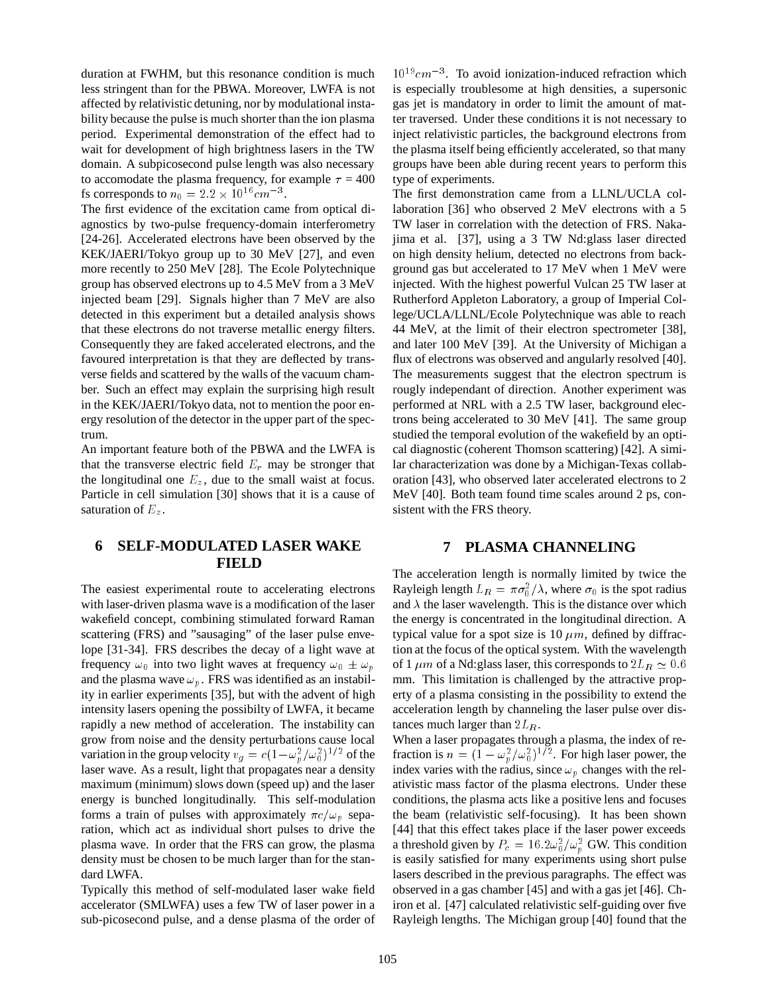duration at FWHM, but this resonance condition is much less stringent than for the PBWA. Moreover, LWFA is not affected by relativistic detuning, nor by modulational instability because the pulse is much shorter than the ion plasma period. Experimental demonstration of the effect had to wait for development of high brightness lasers in the TW domain. A subpicosecond pulse length was also necessary to accomodate the plasma frequency, for example  $\tau = 400$ fs corresponds to  $n_0 = 2.2 \times 10^{16} cm^{-3}$ .

The first evidence of the excitation came from optical diagnostics by two-pulse frequency-domain interferometry [24-26]. Accelerated electrons have been observed by the KEK/JAERI/Tokyo group up to 30 MeV [27], and even more recently to 250 MeV [28]. The Ecole Polytechnique group has observed electrons up to 4.5 MeV from a 3 MeV injected beam [29]. Signals higher than 7 MeV are also detected in this experiment but a detailed analysis shows that these electrons do not traverse metallic energy filters. Consequently they are faked accelerated electrons, and the favoured interpretation is that they are deflected by transverse fields and scattered by the walls of the vacuum chamber. Such an effect may explain the surprising high result in the KEK/JAERI/Tokyo data, not to mention the poor energy resolution of the detector in the upper part of the spectrum.

An important feature both of the PBWA and the LWFA is that the transverse electric field  $E_r$  may be stronger that the longitudinal one  $E_z$ , due to the small waist at focus. Particle in cell simulation [30] shows that it is a cause of saturation of  $E_z$ .

# **6 SELF-MODULATED LASER WAKE FIELD**

The easiest experimental route to accelerating electrons with laser-driven plasma wave is a modification of the laser wakefield concept, combining stimulated forward Raman scattering (FRS) and "sausaging" of the laser pulse envelope [31-34]. FRS describes the decay of a light wave at frequency  $\omega_0$  into two light waves at frequency  $\omega_0 \pm \omega_n$ and the plasma wave  $\omega_p$ . FRS was identified as an instability in earlier experiments [35], but with the advent of high intensity lasers opening the possibilty of LWFA, it became rapidly a new method of acceleration. The instability can grow from noise and the density perturbations cause local variation in the group velocity  $v_g = c(1 - \omega_p^2/\omega_0^2)^{1/2}$  of the laser wave. As a result, light that propagates near a density maximum (minimum) slows down (speed up) and the laser energy is bunched longitudinally. This self-modulation forms a train of pulses with approximately  $\pi c/\omega_p$  separation, which act as individual short pulses to drive the plasma wave. In order that the FRS can grow, the plasma density must be chosen to be much larger than for the standard LWFA.

Typically this method of self-modulated laser wake field accelerator (SMLWFA) uses a few TW of laser power in a sub-picosecond pulse, and a dense plasma of the order of

 $10^{19}$ cm<sup>-3</sup>. To avoid ionization-induced refraction which is especially troublesome at high densities, a supersonic gas jet is mandatory in order to limit the amount of matter traversed. Under these conditions it is not necessary to inject relativistic particles, the background electrons from the plasma itself being efficiently accelerated, so that many groups have been able during recent years to perform this type of experiments.

The first demonstration came from a LLNL/UCLA collaboration [36] who observed 2 MeV electrons with a 5 TW laser in correlation with the detection of FRS. Nakajima et al. [37], using a 3 TW Nd:glass laser directed on high density helium, detected no electrons from background gas but accelerated to 17 MeV when 1 MeV were injected. With the highest powerful Vulcan 25 TW laser at Rutherford Appleton Laboratory, a group of Imperial College/UCLA/LLNL/Ecole Polytechnique was able to reach 44 MeV, at the limit of their electron spectrometer [38], and later 100 MeV [39]. At the University of Michigan a flux of electrons was observed and angularly resolved [40]. The measurements suggest that the electron spectrum is rougly independant of direction. Another experiment was performed at NRL with a 2.5 TW laser, background electrons being accelerated to 30 MeV [41]. The same group studied the temporal evolution of the wakefield by an optical diagnostic (coherent Thomson scattering) [42]. A similar characterization was done by a Michigan-Texas collaboration [43], who observed later accelerated electrons to 2 MeV [40]. Both team found time scales around 2 ps, consistent with the FRS theory.

### **7 PLASMA CHANNELING**

The acceleration length is normally limited by twice the Rayleigh length  $L_R = \pi \sigma_0^2 / \lambda$ , where  $\sigma_0$  is the spot radius and  $\lambda$  the laser wavelength. This is the distance over which the energy is concentrated in the longitudinal direction. A typical value for a spot size is 10  $\mu$ m, defined by diffraction at the focus of the optical system. With the wavelength of 1  $\mu$ m of a Nd: glass laser, this corresponds to  $2L_R \simeq 0.6$ mm. This limitation is challenged by the attractive property of a plasma consisting in the possibility to extend the acceleration length by channeling the laser pulse over distances much larger than  $2L_R$ .

When a laser propagates through a plasma, the index of refraction is  $n = (1 - \omega_n^2 / \omega_0^2)^{1/2}$ . For high laser power, the index varies with the radius, since  $\omega_p$  changes with the relativistic mass factor of the plasma electrons. Under these conditions, the plasma acts like a positive lens and focuses the beam (relativistic self-focusing). It has been shown [44] that this effect takes place if the laser power exceeds a threshold given by  $P_c = 16.2 \omega_0^2 / \omega_p^2$  GW. This condition is easily satisfied for many experiments using short pulse lasers described in the previous paragraphs. The effect was observed in a gas chamber [45] and with a gas jet [46]. Chiron et al. [47] calculated relativistic self-guiding over five Rayleigh lengths. The Michigan group [40] found that the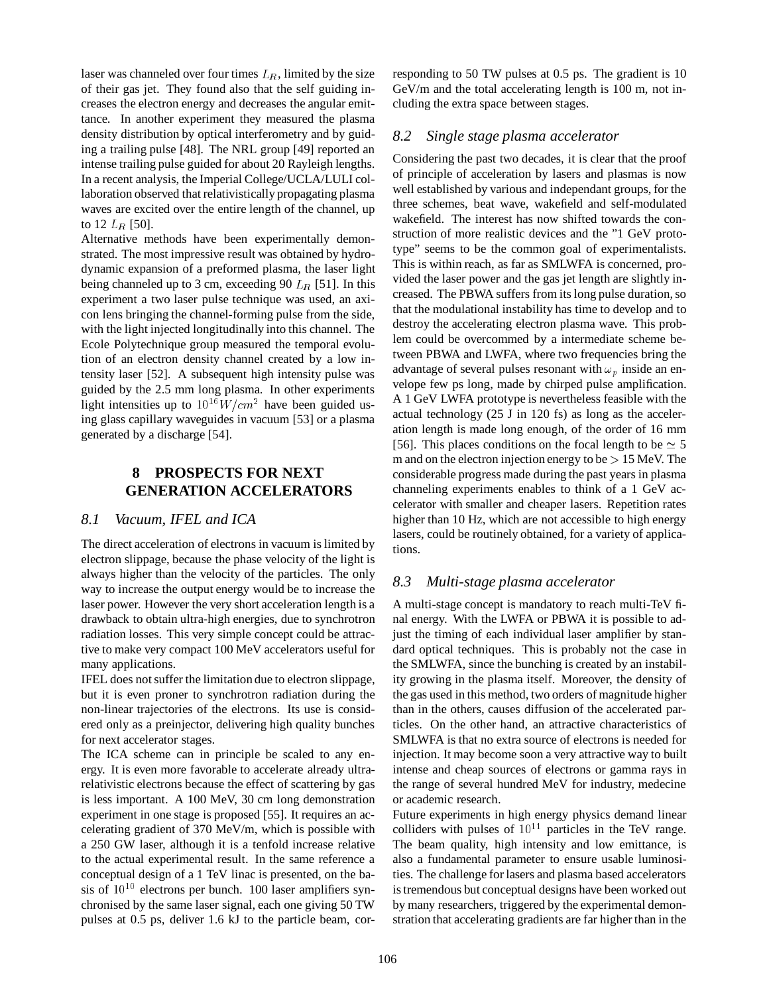laser was channeled over four times  $L_R$ , limited by the size of their gas jet. They found also that the self guiding increases the electron energy and decreases the angular emittance. In another experiment they measured the plasma density distribution by optical interferometry and by guiding a trailing pulse [48]. The NRL group [49] reported an intense trailing pulse guided for about 20 Rayleigh lengths. In a recent analysis, the Imperial College/UCLA/LULI collaboration observed that relativistically propagating plasma waves are excited over the entire length of the channel, up to 12  $L_R$  [50].

Alternative methods have been experimentally demonstrated. The most impressive result was obtained by hydrodynamic expansion of a preformed plasma, the laser light being channeled up to 3 cm, exceeding 90  $L_R$  [51]. In this experiment a two laser pulse technique was used, an axicon lens bringing the channel-forming pulse from the side, with the light injected longitudinally into this channel. The Ecole Polytechnique group measured the temporal evolution of an electron density channel created by a low intensity laser [52]. A subsequent high intensity pulse was guided by the 2.5 mm long plasma. In other experiments light intensities up to  $10^{16}W/cm^2$  have been guided using glass capillary waveguides in vacuum [53] or a plasma generated by a discharge [54].

# **8 PROSPECTS FOR NEXT GENERATION ACCELERATORS**

## *8.1 Vacuum, IFEL and ICA*

The direct acceleration of electrons in vacuum is limited by electron slippage, because the phase velocity of the light is always higher than the velocity of the particles. The only way to increase the output energy would be to increase the laser power. However the very short acceleration length is a drawback to obtain ultra-high energies, due to synchrotron radiation losses. This very simple concept could be attractive to make very compact 100 MeV accelerators useful for many applications.

IFEL does not suffer the limitation due to electron slippage, but it is even proner to synchrotron radiation during the non-linear trajectories of the electrons. Its use is considered only as a preinjector, delivering high quality bunches for next accelerator stages.

The ICA scheme can in principle be scaled to any energy. It is even more favorable to accelerate already ultrarelativistic electrons because the effect of scattering by gas is less important. A 100 MeV, 30 cm long demonstration experiment in one stage is proposed [55]. It requires an accelerating gradient of 370 MeV/m, which is possible with a 250 GW laser, although it is a tenfold increase relative to the actual experimental result. In the same reference a conceptual design of a 1 TeV linac is presented, on the basis of  $10^{10}$  electrons per bunch. 100 laser amplifiers synchronised by the same laser signal, each one giving 50 TW pulses at 0.5 ps, deliver 1.6 kJ to the particle beam, corresponding to 50 TW pulses at 0.5 ps. The gradient is 10 GeV/m and the total accelerating length is 100 m, not including the extra space between stages.

### *8.2 Single stage plasma accelerator*

Considering the past two decades, it is clear that the proof of principle of acceleration by lasers and plasmas is now well established by various and independant groups, for the three schemes, beat wave, wakefield and self-modulated wakefield. The interest has now shifted towards the construction of more realistic devices and the "1 GeV prototype" seems to be the common goal of experimentalists. This is within reach, as far as SMLWFA is concerned, provided the laser power and the gas jet length are slightly increased. The PBWA suffers from its long pulse duration, so that the modulational instability has time to develop and to destroy the accelerating electron plasma wave. This problem could be overcommed by a intermediate scheme between PBWA and LWFA, where two frequencies bring the advantage of several pulses resonant with  $\omega_p$  inside an envelope few ps long, made by chirped pulse amplification. A 1 GeV LWFA prototype is nevertheless feasible with the actual technology (25 J in 120 fs) as long as the acceleration length is made long enough, of the order of 16 mm [56]. This places conditions on the focal length to be  $\simeq$  5 m and on the electron injection energy to be  $> 15$  MeV. The considerable progress made during the past years in plasma channeling experiments enables to think of a 1 GeV accelerator with smaller and cheaper lasers. Repetition rates higher than 10 Hz, which are not accessible to high energy lasers, could be routinely obtained, for a variety of applications.

## *8.3 Multi-stage plasma accelerator*

A multi-stage concept is mandatory to reach multi-TeV final energy. With the LWFA or PBWA it is possible to adjust the timing of each individual laser amplifier by standard optical techniques. This is probably not the case in the SMLWFA, since the bunching is created by an instability growing in the plasma itself. Moreover, the density of the gas used in this method, two orders of magnitude higher than in the others, causes diffusion of the accelerated particles. On the other hand, an attractive characteristics of SMLWFA is that no extra source of electrons is needed for injection. It may become soon a very attractive way to built intense and cheap sources of electrons or gamma rays in the range of several hundred MeV for industry, medecine or academic research.

Future experiments in high energy physics demand linear colliders with pulses of  $10^{11}$  particles in the TeV range. The beam quality, high intensity and low emittance, is also a fundamental parameter to ensure usable luminosities. The challenge for lasers and plasma based accelerators is tremendous but conceptual designs have been worked out by many researchers, triggered by the experimental demonstration that accelerating gradients are far higher than in the